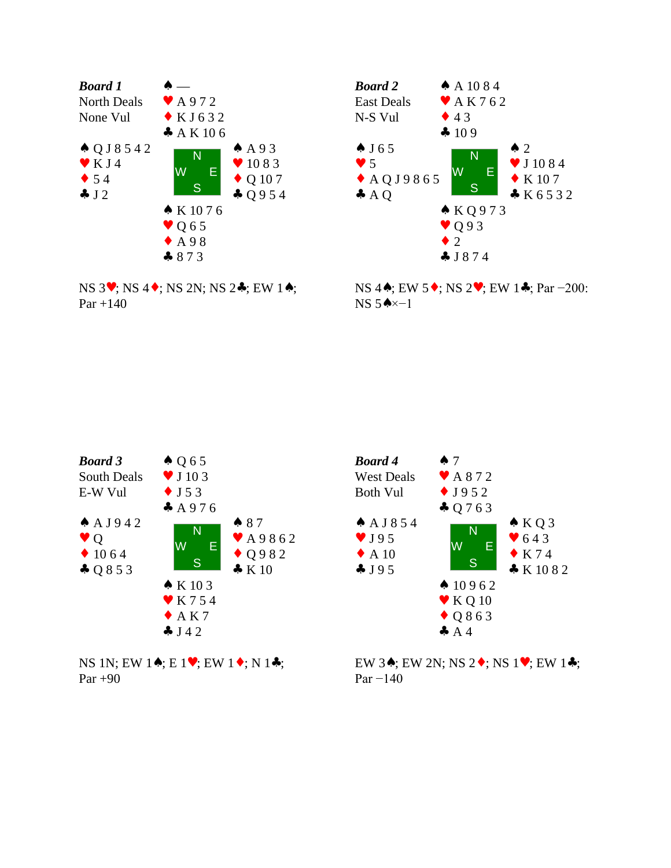

NS 3♥; NS 4♦; NS 2N; NS 2♣; EW 1♠;  $Par +140$ 



NS 4♠; EW 5♦; NS 2♥; EW 1♣; Par −200: NS 5♠×−1



NS 1N; EW 1♠; E 1♥; EW 1♦; N 1♣; Par +90



EW 3♠; EW 2N; NS 2♦; NS 1♥; EW 1♣; Par −140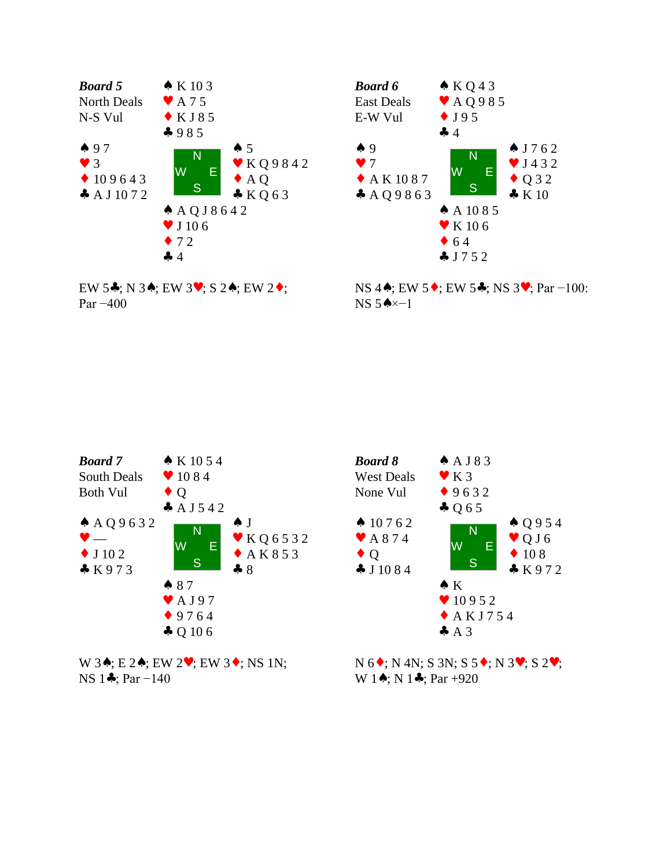





NS 4♦; EW 5♦; EW 5♦; NS 3♥; Par -100: NS 5♠×−1



W 3**↑**; E 2**↑**; EW 2♥; EW 3◆; NS 1N; NS 1♣; Par −140



N 6♦; N 4N; S 3N; S 5♦; N 3♥; S 2♥; W 1 $\star$ ; N 1 $\star$ ; Par +920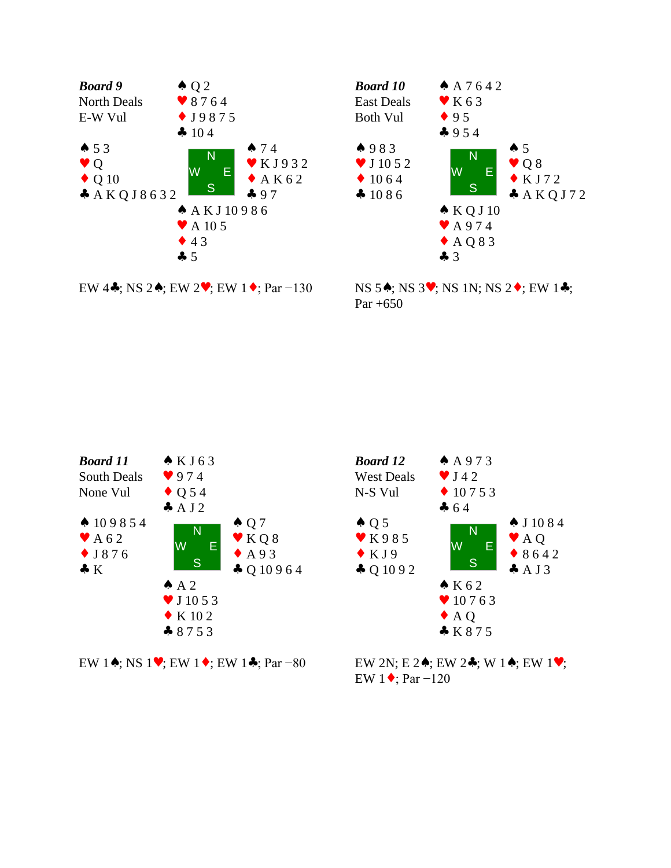





NS 5♠; NS 3♥; NS 1N; NS 2♦; EW 1♣; Par  $+650$ 



EW 1♠; NS 1♥; EW 1♦; EW 1♣; Par −80



EW 2N; E 2♠; EW 2♣; W 1♠; EW 1♥; EW 1♦; Par −120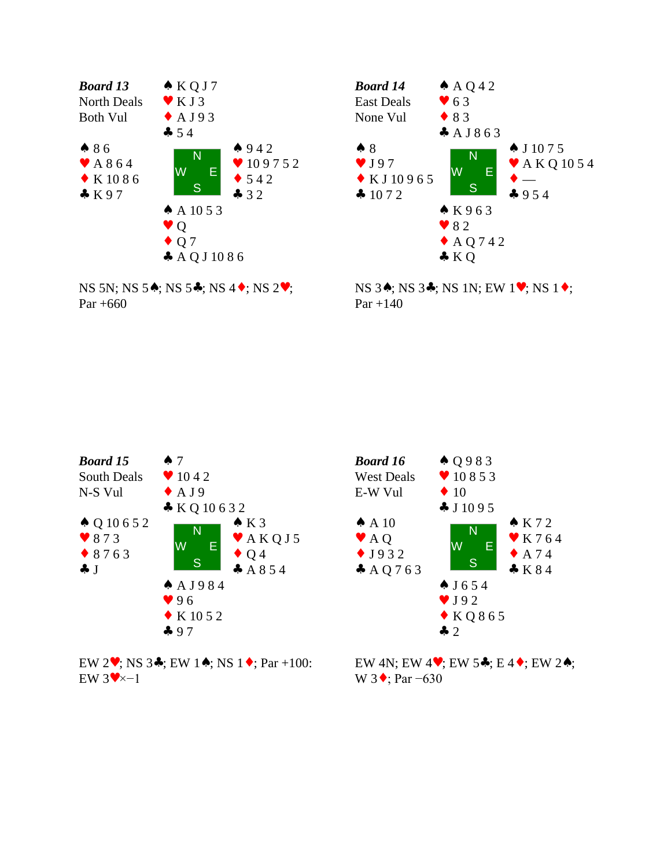





NS 3♠; NS 3♣; NS 1N; EW 1♥; NS 1♦;  $Par + 140$ 



EW 2♥; NS 3♣; EW 1♠; NS 1♦; Par +100: EW  $3 \vee \times 1$ 



EW 4N; EW 4♥; EW 5♣; E 4♦; EW 2♠; W 3  $\bullet$ ; Par −630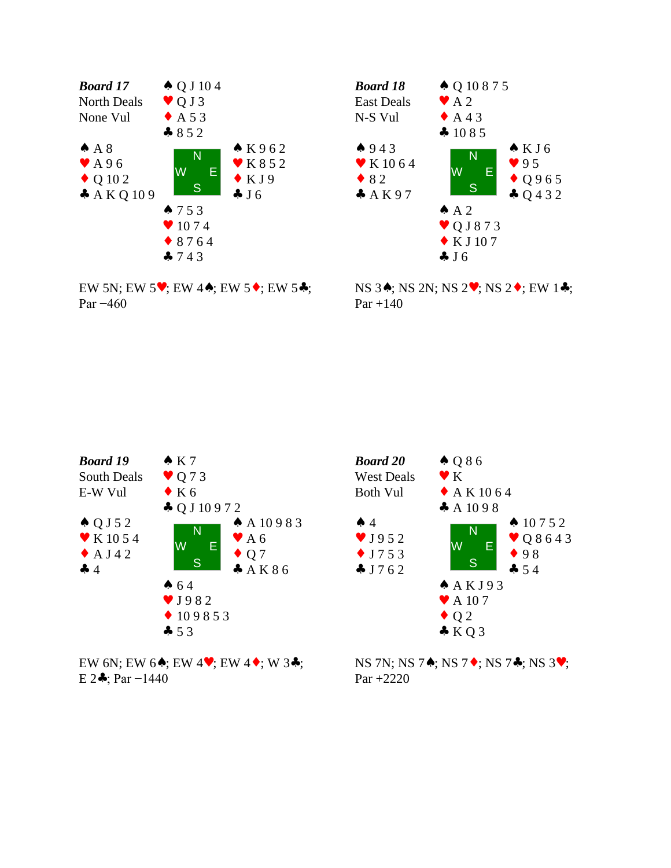



EW 5N; EW 5♥; EW 4♠; EW 5♦; EW 5♣; Par −460

NS 3♠; NS 2N; NS 2♥; NS 2♦; EW 1♣;  $Par + 140$ 



EW 6N; EW 6♠; EW 4♥; EW 4♦; W 3♣; E 2 $\clubsuit$ ; Par -1440



NS 7N; NS 7♠; NS 7♦; NS 7♣; NS 3♥; Par +2220